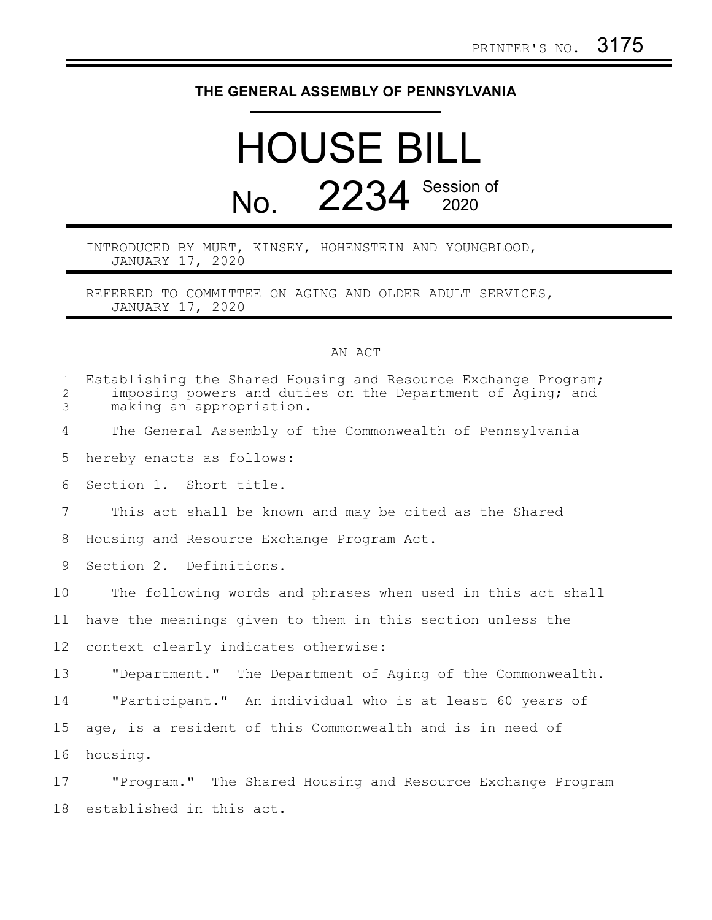## **THE GENERAL ASSEMBLY OF PENNSYLVANIA**

## HOUSE BILL No. 2234 Session of

## INTRODUCED BY MURT, KINSEY, HOHENSTEIN AND YOUNGBLOOD, JANUARY 17, 2020

REFERRED TO COMMITTEE ON AGING AND OLDER ADULT SERVICES, JANUARY 17, 2020

## AN ACT

| $\mathbf{1}$<br>$\mathbf{2}$<br>3 | Establishing the Shared Housing and Resource Exchange Program;<br>imposing powers and duties on the Department of Aging; and<br>making an appropriation. |
|-----------------------------------|----------------------------------------------------------------------------------------------------------------------------------------------------------|
| 4                                 | The General Assembly of the Commonwealth of Pennsylvania                                                                                                 |
| 5                                 | hereby enacts as follows:                                                                                                                                |
| 6                                 | Section 1. Short title.                                                                                                                                  |
| 7                                 | This act shall be known and may be cited as the Shared                                                                                                   |
| 8                                 | Housing and Resource Exchange Program Act.                                                                                                               |
| 9                                 | Section 2. Definitions.                                                                                                                                  |
| 10                                | The following words and phrases when used in this act shall                                                                                              |
| 11                                | have the meanings given to them in this section unless the                                                                                               |
| 12 <sup>°</sup>                   | context clearly indicates otherwise:                                                                                                                     |
| 13                                | "Department." The Department of Aging of the Commonwealth.                                                                                               |
| 14                                | "Participant." An individual who is at least 60 years of                                                                                                 |
| 15                                | age, is a resident of this Commonwealth and is in need of                                                                                                |
| 16                                | housing.                                                                                                                                                 |
| 17                                | "Program." The Shared Housing and Resource Exchange Program                                                                                              |
| 18                                | established in this act.                                                                                                                                 |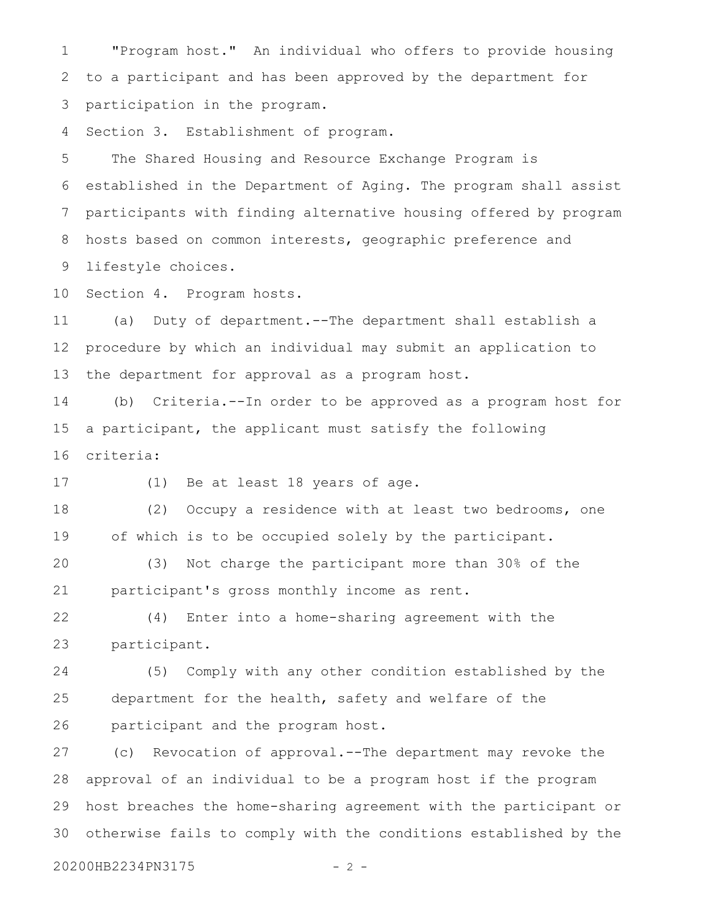"Program host." An individual who offers to provide housing to a participant and has been approved by the department for participation in the program. 1 2 3

Section 3. Establishment of program. 4

The Shared Housing and Resource Exchange Program is established in the Department of Aging. The program shall assist participants with finding alternative housing offered by program hosts based on common interests, geographic preference and lifestyle choices. 5 6 7 8 9

Section 4. Program hosts. 10

(a) Duty of department.--The department shall establish a procedure by which an individual may submit an application to the department for approval as a program host. 11 12 13

(b) Criteria.--In order to be approved as a program host for a participant, the applicant must satisfy the following criteria: 14 15 16

17

(1) Be at least 18 years of age.

(2) Occupy a residence with at least two bedrooms, one of which is to be occupied solely by the participant. 18 19

(3) Not charge the participant more than 30% of the participant's gross monthly income as rent. 20 21

(4) Enter into a home-sharing agreement with the participant. 22 23

(5) Comply with any other condition established by the department for the health, safety and welfare of the participant and the program host. 24 25 26

(c) Revocation of approval.--The department may revoke the approval of an individual to be a program host if the program host breaches the home-sharing agreement with the participant or otherwise fails to comply with the conditions established by the 27 28 29 30

20200HB2234PN3175 - 2 -